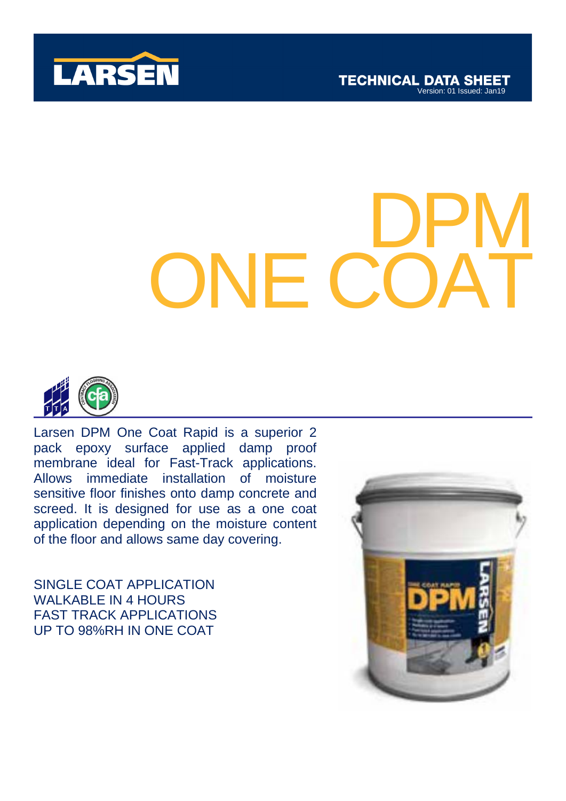



# SHOWER ONE COAT DPM ONE COAT



Larsen DPM One Coat Rapid is a superior 2 pack epoxy surface applied damp proof membrane ideal for Fast-Track applications. Allows immediate installation of moisture sensitive floor finishes onto damp concrete and screed. It is designed for use as a one coat application depending on the moisture content of the floor and allows same day covering.

SINGLE COAT APPLICATION WALKABLE IN 4 HOURS FAST TRACK APPLICATIONS UP TO 98%RH IN ONE COAT

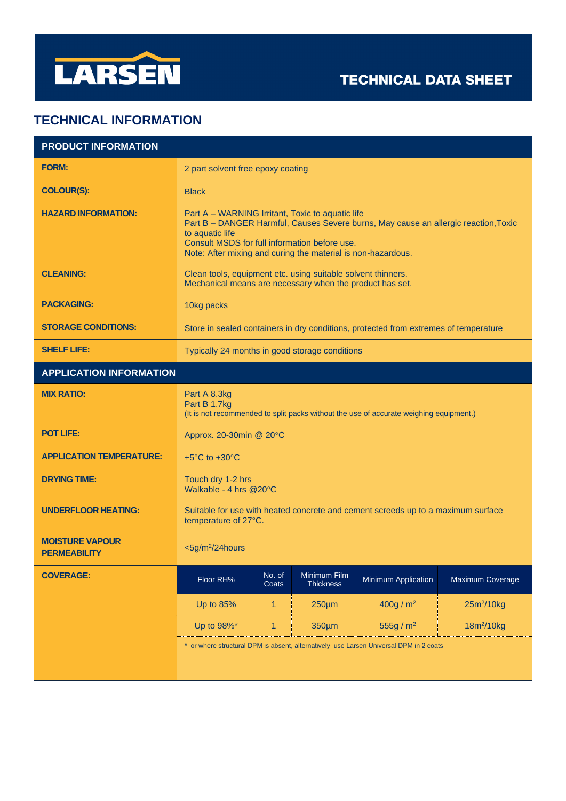

## **TECHNICAL DATA SHEET**

## **TECHNICAL INFORMATION**

| <b>PRODUCT INFORMATION</b>                    |                                                                                                                                                                                                                                                                             |                 |                                  |                            |                        |
|-----------------------------------------------|-----------------------------------------------------------------------------------------------------------------------------------------------------------------------------------------------------------------------------------------------------------------------------|-----------------|----------------------------------|----------------------------|------------------------|
| <b>FORM:</b>                                  | 2 part solvent free epoxy coating                                                                                                                                                                                                                                           |                 |                                  |                            |                        |
| <b>COLOUR(S):</b>                             | <b>Black</b>                                                                                                                                                                                                                                                                |                 |                                  |                            |                        |
| <b>HAZARD INFORMATION:</b>                    | Part A – WARNING Irritant, Toxic to aquatic life<br>Part B - DANGER Harmful, Causes Severe burns, May cause an allergic reaction, Toxic<br>to aquatic life<br>Consult MSDS for full information before use.<br>Note: After mixing and curing the material is non-hazardous. |                 |                                  |                            |                        |
| <b>CLEANING:</b>                              | Clean tools, equipment etc. using suitable solvent thinners.<br>Mechanical means are necessary when the product has set.                                                                                                                                                    |                 |                                  |                            |                        |
| <b>PACKAGING:</b>                             | 10kg packs                                                                                                                                                                                                                                                                  |                 |                                  |                            |                        |
| <b>STORAGE CONDITIONS:</b>                    | Store in sealed containers in dry conditions, protected from extremes of temperature                                                                                                                                                                                        |                 |                                  |                            |                        |
| <b>SHELF LIFE:</b>                            | Typically 24 months in good storage conditions                                                                                                                                                                                                                              |                 |                                  |                            |                        |
| <b>APPLICATION INFORMATION</b>                |                                                                                                                                                                                                                                                                             |                 |                                  |                            |                        |
| <b>MIX RATIO:</b>                             | Part A 8.3kg<br>Part B 1.7kg<br>(It is not recommended to split packs without the use of accurate weighing equipment.)                                                                                                                                                      |                 |                                  |                            |                        |
| <b>POT LIFE:</b>                              | Approx. 20-30min @ 20°C                                                                                                                                                                                                                                                     |                 |                                  |                            |                        |
| <b>APPLICATION TEMPERATURE:</b>               | +5 $\mathrm{^{\circ}C}$ to +30 $\mathrm{^{\circ}C}$                                                                                                                                                                                                                         |                 |                                  |                            |                        |
| <b>DRYING TIME:</b>                           | Touch dry 1-2 hrs<br>Walkable - 4 hrs @20°C                                                                                                                                                                                                                                 |                 |                                  |                            |                        |
| <b>UNDERFLOOR HEATING:</b>                    | Suitable for use with heated concrete and cement screeds up to a maximum surface<br>temperature of 27°C.                                                                                                                                                                    |                 |                                  |                            |                        |
| <b>MOISTURE VAPOUR</b><br><b>PERMEABILITY</b> | $<$ 5g/m <sup>2</sup> /24hours                                                                                                                                                                                                                                              |                 |                                  |                            |                        |
| <b>COVERAGE:</b>                              | Floor RH%                                                                                                                                                                                                                                                                   | No. of<br>Coats | Minimum Film<br><b>Thickness</b> | <b>Minimum Application</b> | Maximum Coverage       |
|                                               | Up to 85%                                                                                                                                                                                                                                                                   | 1               | $250 \mu m$                      | 400g/m <sup>2</sup>        | $25m^2/10kg$           |
|                                               | Up to 98%*                                                                                                                                                                                                                                                                  | $\mathbf{1}$    | 350µm                            | 555g / $m^2$               | 18m <sup>2</sup> /10kg |
|                                               | * or where structural DPM is absent, alternatively use Larsen Universal DPM in 2 coats                                                                                                                                                                                      |                 |                                  |                            |                        |
|                                               |                                                                                                                                                                                                                                                                             |                 |                                  |                            |                        |